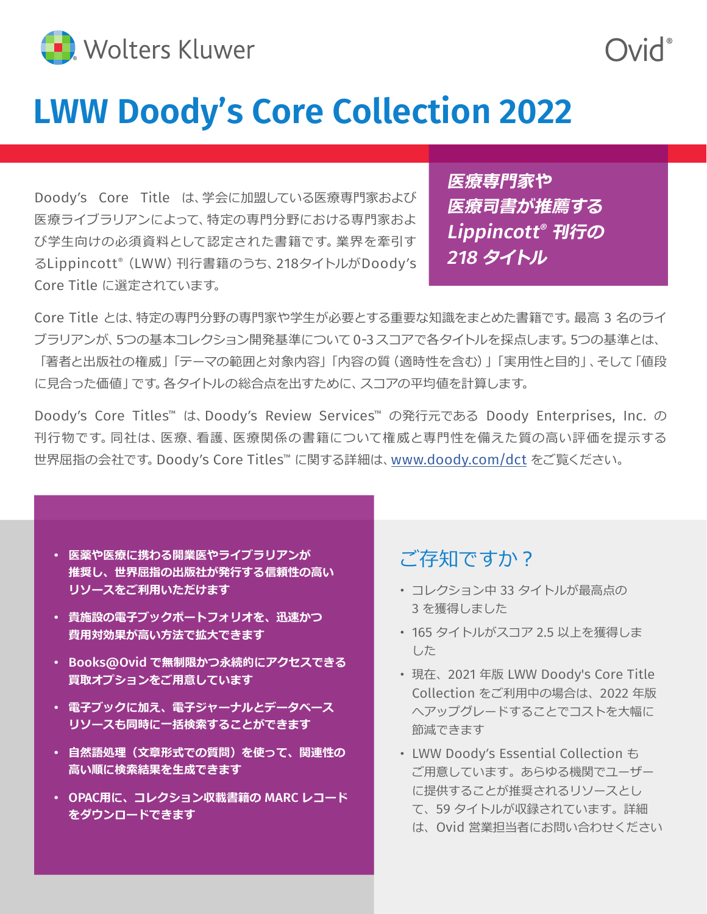

# **LWW Doody's Core Collection 2022**

Doody's Core Title は、学会に加盟している医療専門家および 医療ライブラリアンによって、特定の専門分野における専門家およ び学生向けの必須資料として認定された書籍です。業界を牽引す るLippincott® (LWW)刊行書籍のうち、218タイトルがDoody's Core Title に選定されています。

**医療専門家や 医療司書が推薦する** Lippincott® **刊行の** 218 **タイトル**

Core Title とは、特定の専門分野の専門家や学生が必要とする重要な知識をまとめた書籍です。最高 3 名のライ ブラリアンが、5つの基本コレクション開発基準について 0-3 スコアで各タイトルを採点します。5つの基準とは、 「著者と出版社の権威」「テーマの範囲と対象内容」「内容の質(適時性を含む)」「実用性と目的」、そして「値段 に見合った価値」です。各タイトルの総合点を出すために、スコアの平均値を計算します。

Doody's Core Titles™ は、Doody's Review Services™ の発行元である Doody Enterprises, Inc. の 刊行物です。同社は、医療、看護、医療関係の書籍について権威と専門性を備えた質の高い評価を提示する 世界屈指の会社です。Doody's Core Titles™ に関する詳細は、[www.doody.com/dct](http://www.doody.com/dct) をご覧ください。

- **医薬や医療に携わる開業医やライブラリアンが 推奨し、世界屈指の出版社が発行する信頼性の高い リソースをご利用いただけます**
- **貴施設の電子ブックポートフォリオを、迅速かつ 費用対効果が高い方法で拡大できます**
- Books@Ovid **で無制限かつ永続的にアクセスできる 買取オプションをご用意しています**
- **電子ブックに加え、電子ジャーナルとデータベース リソースも同時に一括検索することができます**
- **自然語処理(文章形式での質問)を使って、関連性の 高い順に検索結果を生成できます**
- OPAC**用に、コレクション収載書籍の** MARC **レコード をダウンロードできます**

### ご存知ですか?

- コレクション中 33 タイトルが最高点の 3 を獲得しました
- 165 タイトルがスコア 2.5 以上を獲得しま した
- 現在、2021 年版 LWW Doody's Core Title Collection をご利用中の場合は、2022 年版 へアップグレードすることでコストを大幅に 節減できます
- LWW Doody's Essential Collection も ご用意しています。あらゆる機関でユーザー に提供することが推奨されるリソースとし て、59 タイトルが収録されています。詳細 は、Ovid 営業担当者にお問い合わせください